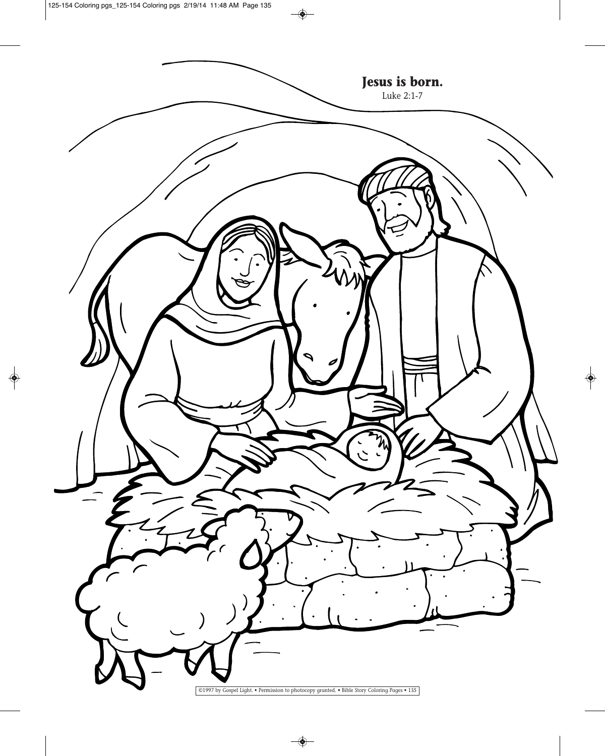